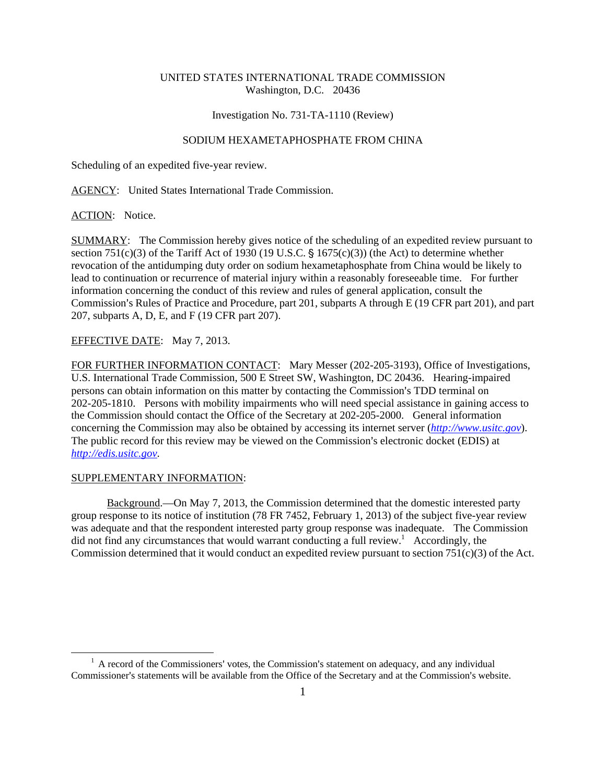# UNITED STATES INTERNATIONAL TRADE COMMISSION Washington, D.C. 20436

#### Investigation No. 731-TA-1110 (Review)

# SODIUM HEXAMETAPHOSPHATE FROM CHINA

Scheduling of an expedited five-year review.

AGENCY: United States International Trade Commission.

ACTION: Notice.

SUMMARY: The Commission hereby gives notice of the scheduling of an expedited review pursuant to section 751(c)(3) of the Tariff Act of 1930 (19 U.S.C.  $\S$  1675(c)(3)) (the Act) to determine whether revocation of the antidumping duty order on sodium hexametaphosphate from China would be likely to lead to continuation or recurrence of material injury within a reasonably foreseeable time. For further information concerning the conduct of this review and rules of general application, consult the Commission's Rules of Practice and Procedure, part 201, subparts A through E (19 CFR part 201), and part 207, subparts A, D, E, and F (19 CFR part 207).

## EFFECTIVE DATE: May 7, 2013.

FOR FURTHER INFORMATION CONTACT: Mary Messer (202-205-3193), Office of Investigations, U.S. International Trade Commission, 500 E Street SW, Washington, DC 20436. Hearing-impaired persons can obtain information on this matter by contacting the Commission's TDD terminal on 202-205-1810. Persons with mobility impairments who will need special assistance in gaining access to the Commission should contact the Office of the Secretary at 202-205-2000. General information concerning the Commission may also be obtained by accessing its internet server (*http://www.usitc.gov*). The public record for this review may be viewed on the Commission's electronic docket (EDIS) at *http://edis.usitc.gov*.

## SUPPLEMENTARY INFORMATION:

 $\overline{a}$ 

Background.—On May 7, 2013, the Commission determined that the domestic interested party group response to its notice of institution (78 FR 7452, February 1, 2013) of the subject five-year review was adequate and that the respondent interested party group response was inadequate. The Commission did not find any circumstances that would warrant conducting a full review.<sup>1</sup> Accordingly, the Commission determined that it would conduct an expedited review pursuant to section 751(c)(3) of the Act.

 $<sup>1</sup>$  A record of the Commissioners' votes, the Commission's statement on adequacy, and any individual</sup> Commissioner's statements will be available from the Office of the Secretary and at the Commission's website.